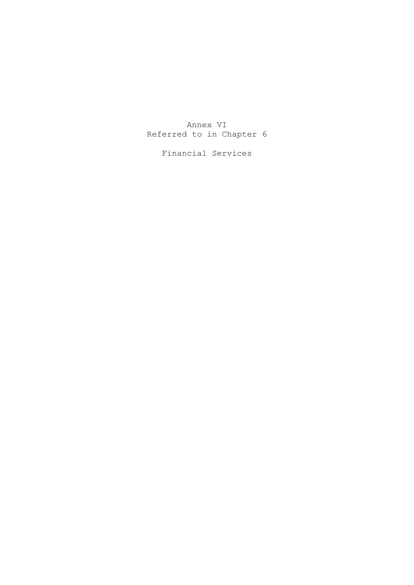# Annex VI Referred to in Chapter 6

Financial Services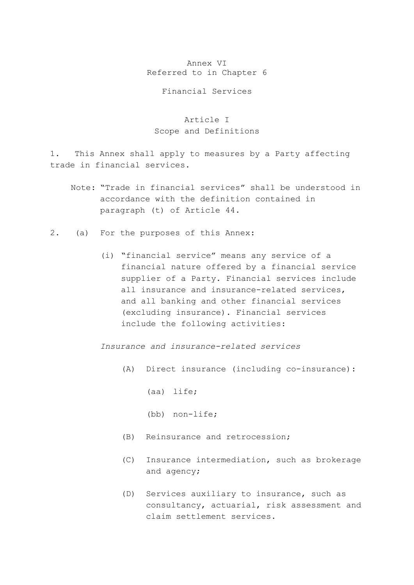#### Annex VI Referred to in Chapter 6

#### Financial Services

# Article I Scope and Definitions

1. This Annex shall apply to measures by a Party affecting trade in financial services.

- Note: "Trade in financial services" shall be understood in accordance with the definition contained in paragraph (t) of Article 44.
- 2. (a) For the purposes of this Annex:
	- (i) "financial service" means any service of a financial nature offered by a financial service supplier of a Party. Financial services include all insurance and insurance-related services, and all banking and other financial services (excluding insurance). Financial services include the following activities:

*Insurance and insurance-related services* 

(A) Direct insurance (including co-insurance):

(aa) life;

- (bb) non-life;
- (B) Reinsurance and retrocession;
- (C) Insurance intermediation, such as brokerage and agency;
- (D) Services auxiliary to insurance, such as consultancy, actuarial, risk assessment and claim settlement services.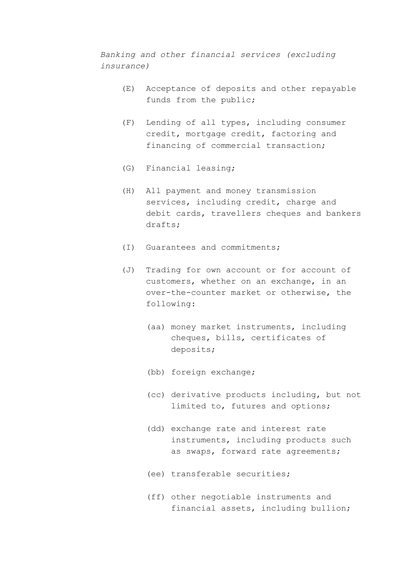*Banking and other financial services (excluding insurance)* 

- (E) Acceptance of deposits and other repayable funds from the public;
- (F) Lending of all types, including consumer credit, mortgage credit, factoring and financing of commercial transaction;
- (G) Financial leasing;
- (H) All payment and money transmission services, including credit, charge and debit cards, travellers cheques and bankers drafts;
- (I) Guarantees and commitments;
- (J) Trading for own account or for account of customers, whether on an exchange, in an over-the-counter market or otherwise, the following:
	- (aa) money market instruments, including cheques, bills, certificates of deposits;
	- (bb) foreign exchange;
	- (cc) derivative products including, but not limited to, futures and options;
	- (dd) exchange rate and interest rate instruments, including products such as swaps, forward rate agreements;
	- (ee) transferable securities;
	- (ff) other negotiable instruments and financial assets, including bullion;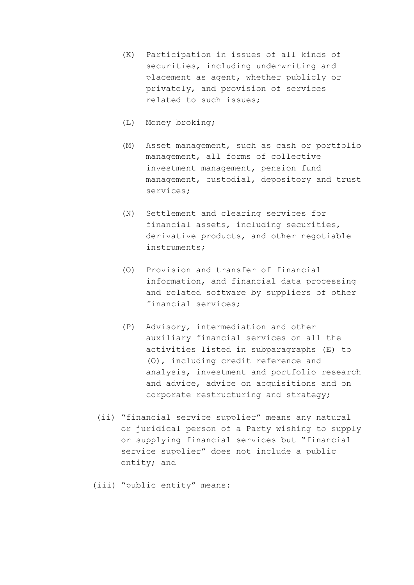- (K) Participation in issues of all kinds of securities, including underwriting and placement as agent, whether publicly or privately, and provision of services related to such issues;
- (L) Money broking;
- (M) Asset management, such as cash or portfolio management, all forms of collective investment management, pension fund management, custodial, depository and trust services;
- (N) Settlement and clearing services for financial assets, including securities, derivative products, and other negotiable instruments;
- (O) Provision and transfer of financial information, and financial data processing and related software by suppliers of other financial services;
- (P) Advisory, intermediation and other auxiliary financial services on all the activities listed in subparagraphs (E) to (O), including credit reference and analysis, investment and portfolio research and advice, advice on acquisitions and on corporate restructuring and strategy;
- (ii) "financial service supplier" means any natural or juridical person of a Party wishing to supply or supplying financial services but "financial service supplier" does not include a public entity; and
- (iii) "public entity" means: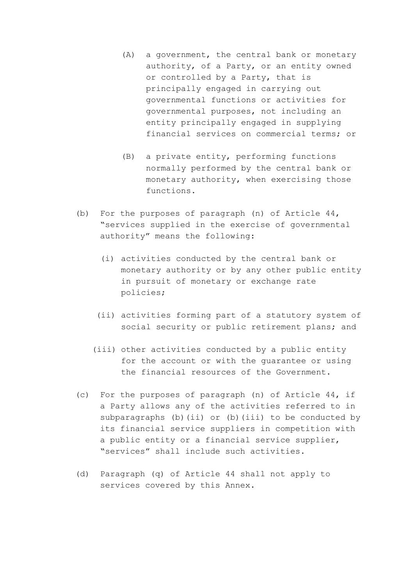- (A) a government, the central bank or monetary authority, of a Party, or an entity owned or controlled by a Party, that is principally engaged in carrying out governmental functions or activities for governmental purposes, not including an entity principally engaged in supplying financial services on commercial terms; or
- (B) a private entity, performing functions normally performed by the central bank or monetary authority, when exercising those functions.
- (b) For the purposes of paragraph (n) of Article 44, "services supplied in the exercise of governmental authority" means the following:
	- (i) activities conducted by the central bank or monetary authority or by any other public entity in pursuit of monetary or exchange rate policies;
	- (ii) activities forming part of a statutory system of social security or public retirement plans; and
	- (iii) other activities conducted by a public entity for the account or with the guarantee or using the financial resources of the Government.
- (c) For the purposes of paragraph (n) of Article 44, if a Party allows any of the activities referred to in subparagraphs (b)(ii) or (b)(iii) to be conducted by its financial service suppliers in competition with a public entity or a financial service supplier, "services" shall include such activities.
- (d) Paragraph (q) of Article 44 shall not apply to services covered by this Annex.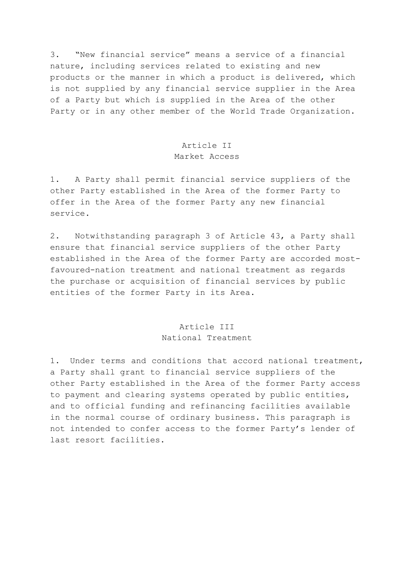3. "New financial service" means a service of a financial nature, including services related to existing and new products or the manner in which a product is delivered, which is not supplied by any financial service supplier in the Area of a Party but which is supplied in the Area of the other Party or in any other member of the World Trade Organization.

# Article II

### Market Access

1. A Party shall permit financial service suppliers of the other Party established in the Area of the former Party to offer in the Area of the former Party any new financial service.

2. Notwithstanding paragraph 3 of Article 43, a Party shall ensure that financial service suppliers of the other Party established in the Area of the former Party are accorded mostfavoured-nation treatment and national treatment as regards the purchase or acquisition of financial services by public entities of the former Party in its Area.

### Article III National Treatment

1. Under terms and conditions that accord national treatment, a Party shall grant to financial service suppliers of the other Party established in the Area of the former Party access to payment and clearing systems operated by public entities, and to official funding and refinancing facilities available in the normal course of ordinary business. This paragraph is not intended to confer access to the former Party's lender of last resort facilities.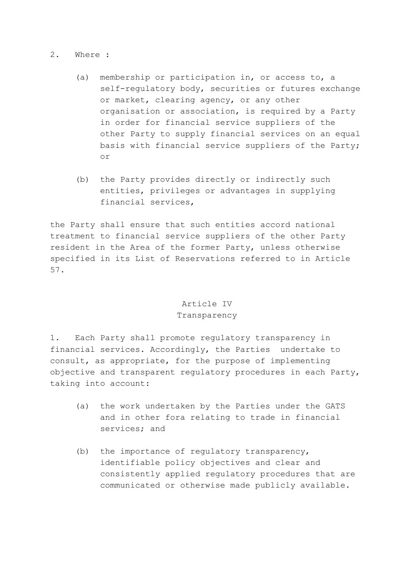#### 2. Where :

- (a) membership or participation in, or access to, a self-regulatory body, securities or futures exchange or market, clearing agency, or any other organisation or association, is required by a Party in order for financial service suppliers of the other Party to supply financial services on an equal basis with financial service suppliers of the Party; or
- (b) the Party provides directly or indirectly such entities, privileges or advantages in supplying financial services,

the Party shall ensure that such entities accord national treatment to financial service suppliers of the other Party resident in the Area of the former Party, unless otherwise specified in its List of Reservations referred to in Article 57.

### Article IV Transparency

1. Each Party shall promote regulatory transparency in financial services. Accordingly, the Parties undertake to consult, as appropriate, for the purpose of implementing objective and transparent regulatory procedures in each Party, taking into account:

- (a) the work undertaken by the Parties under the GATS and in other fora relating to trade in financial services; and
- (b) the importance of regulatory transparency, identifiable policy objectives and clear and consistently applied regulatory procedures that are communicated or otherwise made publicly available.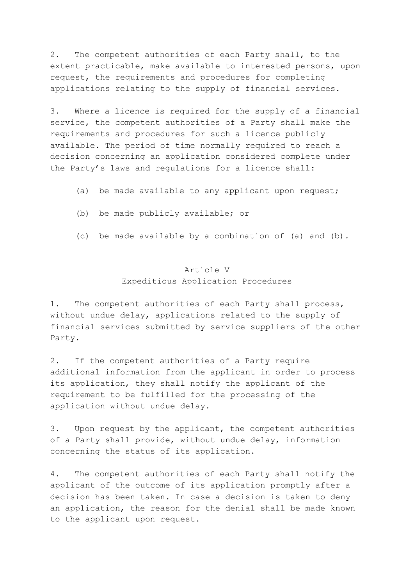2. The competent authorities of each Party shall, to the extent practicable, make available to interested persons, upon request, the requirements and procedures for completing applications relating to the supply of financial services.

3. Where a licence is required for the supply of a financial service, the competent authorities of a Party shall make the requirements and procedures for such a licence publicly available. The period of time normally required to reach a decision concerning an application considered complete under the Party's laws and regulations for a licence shall:

- (a) be made available to any applicant upon request;
- (b) be made publicly available; or
- (c) be made available by a combination of (a) and (b).

### Article V Expeditious Application Procedures

1. The competent authorities of each Party shall process, without undue delay, applications related to the supply of financial services submitted by service suppliers of the other Party.

2. If the competent authorities of a Party require additional information from the applicant in order to process its application, they shall notify the applicant of the requirement to be fulfilled for the processing of the application without undue delay.

3. Upon request by the applicant, the competent authorities of a Party shall provide, without undue delay, information concerning the status of its application.

4. The competent authorities of each Party shall notify the applicant of the outcome of its application promptly after a decision has been taken. In case a decision is taken to deny an application, the reason for the denial shall be made known to the applicant upon request.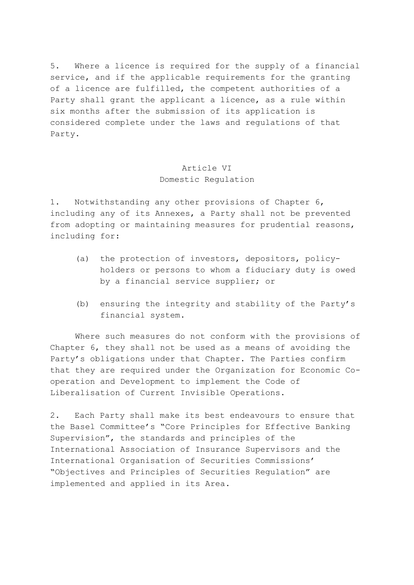5. Where a licence is required for the supply of a financial service, and if the applicable requirements for the granting of a licence are fulfilled, the competent authorities of a Party shall grant the applicant a licence, as a rule within six months after the submission of its application is considered complete under the laws and regulations of that Party.

# Article VI Domestic Regulation

1. Notwithstanding any other provisions of Chapter 6, including any of its Annexes, a Party shall not be prevented from adopting or maintaining measures for prudential reasons, including for:

- (a) the protection of investors, depositors, policyholders or persons to whom a fiduciary duty is owed by a financial service supplier; or
- (b) ensuring the integrity and stability of the Party's financial system.

 Where such measures do not conform with the provisions of Chapter 6, they shall not be used as a means of avoiding the Party's obligations under that Chapter. The Parties confirm that they are required under the Organization for Economic Cooperation and Development to implement the Code of Liberalisation of Current Invisible Operations.

2. Each Party shall make its best endeavours to ensure that the Basel Committee's "Core Principles for Effective Banking Supervision", the standards and principles of the International Association of Insurance Supervisors and the International Organisation of Securities Commissions' "Objectives and Principles of Securities Regulation" are implemented and applied in its Area.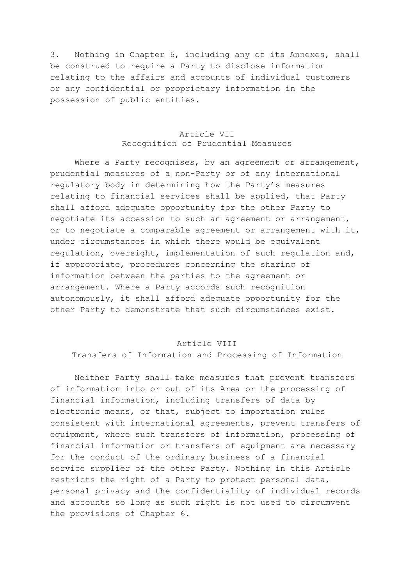3. Nothing in Chapter 6, including any of its Annexes, shall be construed to require a Party to disclose information relating to the affairs and accounts of individual customers or any confidential or proprietary information in the possession of public entities.

### Article VII Recognition of Prudential Measures

Where a Party recognises, by an agreement or arrangement, prudential measures of a non-Party or of any international regulatory body in determining how the Party's measures relating to financial services shall be applied, that Party shall afford adequate opportunity for the other Party to negotiate its accession to such an agreement or arrangement, or to negotiate a comparable agreement or arrangement with it, under circumstances in which there would be equivalent regulation, oversight, implementation of such regulation and, if appropriate, procedures concerning the sharing of information between the parties to the agreement or arrangement. Where a Party accords such recognition autonomously, it shall afford adequate opportunity for the other Party to demonstrate that such circumstances exist.

#### Article VIII

Transfers of Information and Processing of Information

 Neither Party shall take measures that prevent transfers of information into or out of its Area or the processing of financial information, including transfers of data by electronic means, or that, subject to importation rules consistent with international agreements, prevent transfers of equipment, where such transfers of information, processing of financial information or transfers of equipment are necessary for the conduct of the ordinary business of a financial service supplier of the other Party. Nothing in this Article restricts the right of a Party to protect personal data, personal privacy and the confidentiality of individual records and accounts so long as such right is not used to circumvent the provisions of Chapter 6.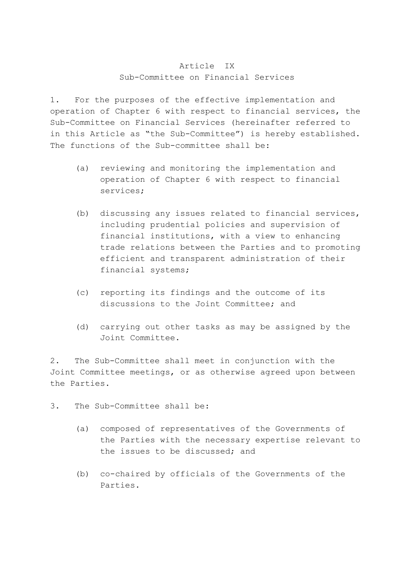### Article IX Sub-Committee on Financial Services

1. For the purposes of the effective implementation and operation of Chapter 6 with respect to financial services, the Sub-Committee on Financial Services (hereinafter referred to in this Article as "the Sub-Committee") is hereby established. The functions of the Sub-committee shall be:

- (a) reviewing and monitoring the implementation and operation of Chapter 6 with respect to financial services;
- (b) discussing any issues related to financial services, including prudential policies and supervision of financial institutions, with a view to enhancing trade relations between the Parties and to promoting efficient and transparent administration of their financial systems;
- (c) reporting its findings and the outcome of its discussions to the Joint Committee; and
- (d) carrying out other tasks as may be assigned by the Joint Committee.

2. The Sub-Committee shall meet in conjunction with the Joint Committee meetings, or as otherwise agreed upon between the Parties.

3. The Sub-Committee shall be:

- (a) composed of representatives of the Governments of the Parties with the necessary expertise relevant to the issues to be discussed; and
- (b) co-chaired by officials of the Governments of the Parties.